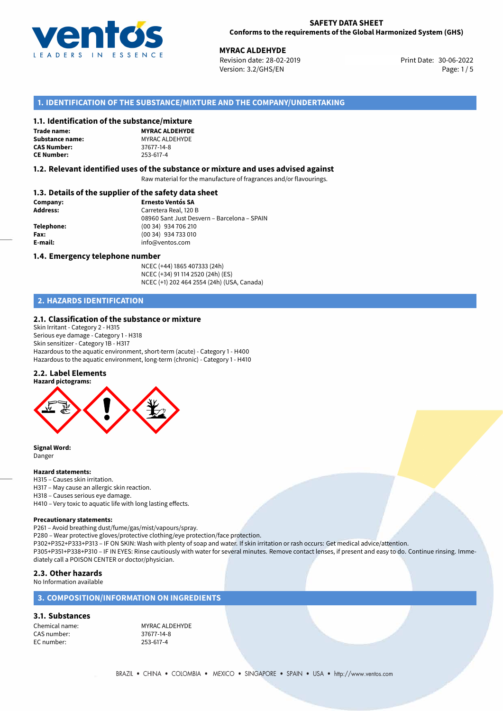

## **SAFETY DATA SHEET Conforms to the requirements of the Global Harmonized System (GHS)**

**MYRAC ALDEHYDE**<br>30-06-2022 Revision date: 28-02-2019 Revision date: 28-02-2019 Version: 3.2/GHS/EN Page: 1/5

# **1. IDENTIFICATION OF THE SUBSTANCE/MIXTURE AND THE COMPANY/UNDERTAKING**

## **1.1. Identification of the substance/mixture**

**Trade name: CAS Number: CE Number:** 253-617-4

**MYRAC ALDEHYDE Substance name:** MYRAC ALDEHYDE<br> **CAS Number:** 37677-14-8

## **1.2. Relevant identified uses of the substance or mixture and uses advised against**

Raw material for the manufacture of fragrances and/or flavourings.

## **1.3. Details of the supplier of the safety data sheet**

| Company:        | <b>Ernesto Ventós SA</b>                    |
|-----------------|---------------------------------------------|
| <b>Address:</b> | Carretera Real, 120 B                       |
|                 | 08960 Sant Just Desvern - Barcelona - SPAIN |
| Telephone:      | (00 34) 934 706 210                         |
| Fax:            | (00 34) 934 733 010                         |
| E-mail:         | info@ventos.com                             |
|                 |                                             |

## **1.4. Emergency telephone number**

NCEC (+44) 1865 407333 (24h) NCEC (+34) 91 114 2520 (24h) (ES) NCEC (+1) 202 464 2554 (24h) (USA, Canada)

# **2. HAZARDS IDENTIFICATION**

## **2.1. Classification of the substance or mixture**

Skin Irritant - Category 2 - H315 Serious eye damage - Category 1 - H318 Skin sensitizer - Category 1B - H317 Hazardous to the aquatic environment, short-term (acute) - Category 1 - H400 Hazardous to the aquatic environment, long-term (chronic) - Category 1 - H410

## **2.2. Label Elements**



**Signal Word:** Danger

## **Hazard statements:**

- H315 Causes skin irritation.
- H317 May cause an allergic skin reaction.
- H318 Causes serious eye damage.
- H410 Very toxic to aquatic life with long lasting effects.

## **Precautionary statements:**

P261 – Avoid breathing dust/fume/gas/mist/vapours/spray.

P280 – Wear protective gloves/protective clothing/eye protection/face protection.

P302+P352+P333+P313 – IF ON SKIN: Wash with plenty of soap and water. If skin irritation or rash occurs: Get medical advice/attention.

P305+P351+P338+P310 – IF IN EYES: Rinse cautiously with water for several minutes. Remove contact lenses, if present and easy to do. Continue rinsing. Immediately call a POISON CENTER or doctor/physician.

## **2.3. Other hazards**

No Information available

## **3. COMPOSITION/INFORMATION ON INGREDIENTS**

# **3.1. Substances**

CAS number: 37677-14-8<br>EC number: 253-617-4 EC number:

Chemical name: MYRAC ALDEHYDE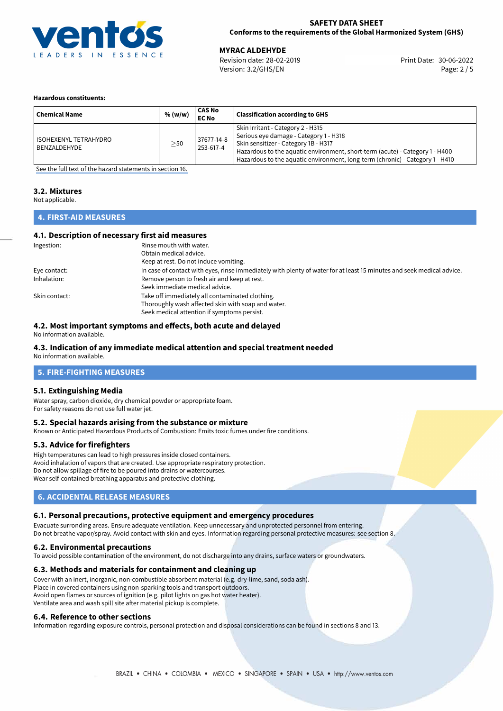

## **SAFETY DATA SHEET Conforms to the requirements of the Global Harmonized System (GHS)**

30-06-2022 **MYRAC ALDEHYDE** Revision date: 28-02-2019 Print Date: Version: 3.2/GHS/EN Page: 2 / 5

## **Hazardous constituents:**

| <b>Chemical Name</b>                         | % (w/w)   | CAS No<br><b>EC No</b>  | <b>Classification according to GHS</b>                                                                                                                                                                                                                                               |
|----------------------------------------------|-----------|-------------------------|--------------------------------------------------------------------------------------------------------------------------------------------------------------------------------------------------------------------------------------------------------------------------------------|
| <b>ISOHEXENYL TETRAHYDRO</b><br>BENZALDEHYDE | $\geq$ 50 | 37677-14-8<br>253-617-4 | Skin Irritant - Category 2 - H315<br>Serious eye damage - Category 1 - H318<br>Skin sensitizer - Category 1B - H317<br>Hazardous to the aquatic environment, short-term (acute) - Category 1 - H400<br>Hazardous to the aquatic environment, long-term (chronic) - Category 1 - H410 |

[See the full text of the hazard statements in section 16.](#page-4-0)

## **3.2. Mixtures**

Not applicable.

# **4. FIRST-AID MEASURES**

## **4.1. Description of necessary first aid measures**

| Ingestion:    | Rinse mouth with water.                                                                                               |
|---------------|-----------------------------------------------------------------------------------------------------------------------|
|               | Obtain medical advice.                                                                                                |
|               | Keep at rest. Do not induce vomiting.                                                                                 |
| Eye contact:  | In case of contact with eyes, rinse immediately with plenty of water for at least 15 minutes and seek medical advice. |
| Inhalation:   | Remove person to fresh air and keep at rest.                                                                          |
|               | Seek immediate medical advice.                                                                                        |
| Skin contact: | Take off immediately all contaminated clothing.                                                                       |
|               | Thoroughly wash affected skin with soap and water.                                                                    |
|               | Seek medical attention if symptoms persist.                                                                           |

## **4.2. Most important symptoms and effects, both acute and delayed**

No information available.

# **4.3. Indication of any immediate medical attention and special treatment needed**

No information available.

# **5. FIRE-FIGHTING MEASURES**

## **5.1. Extinguishing Media**

Water spray, carbon dioxide, dry chemical powder or appropriate foam. For safety reasons do not use full water jet.

## **5.2. Special hazards arising from the substance or mixture**

Known or Anticipated Hazardous Products of Combustion: Emits toxic fumes under fire conditions.

## **5.3. Advice for firefighters**

High temperatures can lead to high pressures inside closed containers. Avoid inhalation of vapors that are created. Use appropriate respiratory protection. Do not allow spillage of fire to be poured into drains or watercourses. Wear self-contained breathing apparatus and protective clothing.

## **6. ACCIDENTAL RELEASE MEASURES**

## **6.1. Personal precautions, protective equipment and emergency procedures**

Evacuate surronding areas. Ensure adequate ventilation. Keep unnecessary and unprotected personnel from entering. Do not breathe vapor/spray. Avoid contact with skin and eyes. Information regarding personal protective measures: see section 8.

## **6.2. Environmental precautions**

To avoid possible contamination of the environment, do not discharge into any drains, surface waters or groundwaters.

## **6.3. Methods and materials for containment and cleaning up**

Cover with an inert, inorganic, non-combustible absorbent material (e.g. dry-lime, sand, soda ash). Place in covered containers using non-sparking tools and transport outdoors. Avoid open flames or sources of ignition (e.g. pilot lights on gas hot water heater). Ventilate area and wash spill site after material pickup is complete.

## **6.4. Reference to other sections**

Information regarding exposure controls, personal protection and disposal considerations can be found in sections 8 and 13.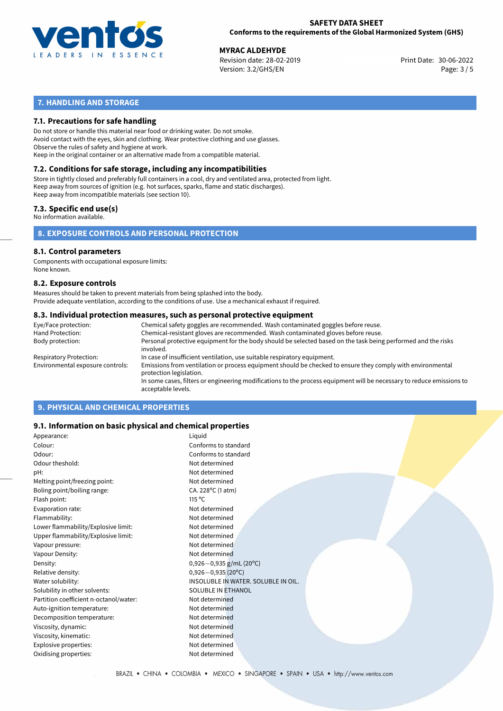

## **SAFETY DATA SHEET Conforms to the requirements of the Global Harmonized System (GHS)**

30-06-2022 **MYRAC ALDEHYDE** Revision date: 28-02-2019 Print Date: Version: 3.2/GHS/EN Page: 3 / 5

# **7. HANDLING AND STORAGE**

## **7.1. Precautions for safe handling**

Do not store or handle this material near food or drinking water. Do not smoke. Avoid contact with the eyes, skin and clothing. Wear protective clothing and use glasses. Observe the rules of safety and hygiene at work. Keep in the original container or an alternative made from a compatible material.

# **7.2. Conditions for safe storage, including any incompatibilities**

Store in tightly closed and preferably full containers in a cool, dry and ventilated area, protected from light. Keep away from sources of ignition (e.g. hot surfaces, sparks, flame and static discharges). Keep away from incompatible materials (see section 10).

## **7.3. Specific end use(s)**

No information available.

## **8. EXPOSURE CONTROLS AND PERSONAL PROTECTION**

# **8.1. Control parameters**

Components with occupational exposure limits: None known.

## **8.2. Exposure controls**

Measures should be taken to prevent materials from being splashed into the body. Provide adequate ventilation, according to the conditions of use. Use a mechanical exhaust if required.

## **8.3. Individual protection measures, such as personal protective equipment**

| Eye/Face protection:             | Chemical safety goggles are recommended. Wash contaminated goggles before reuse.                                                            |
|----------------------------------|---------------------------------------------------------------------------------------------------------------------------------------------|
| Hand Protection:                 | Chemical-resistant gloves are recommended. Wash contaminated gloves before reuse.                                                           |
| Body protection:                 | Personal protective equipment for the body should be selected based on the task being performed and the risks<br>involved.                  |
| Respiratory Protection:          | In case of insufficient ventilation, use suitable respiratory equipment.                                                                    |
| Environmental exposure controls: | Emissions from ventilation or process equipment should be checked to ensure they comply with environmental<br>protection legislation.       |
|                                  | In some cases, filters or engineering modifications to the process equipment will be necessary to reduce emissions to<br>acceptable levels. |
|                                  |                                                                                                                                             |

# **9. PHYSICAL AND CHEMICAL PROPERTIES**

## **9.1. Information on basic physical and chemical properties**

| Appearance:                            | Liguid                              |  |
|----------------------------------------|-------------------------------------|--|
| Colour:                                | Conforms to standard                |  |
| Odour:                                 | Conforms to standard                |  |
| Odour theshold:                        | Not determined                      |  |
| pH:                                    | Not determined                      |  |
| Melting point/freezing point:          | Not determined                      |  |
| Boling point/boiling range:            | CA. 228°C (1 atm)                   |  |
| Flash point:                           | $115^{\circ}$ C                     |  |
| Evaporation rate:                      | Not determined                      |  |
| Flammability:                          | Not determined                      |  |
| Lower flammability/Explosive limit:    | Not determined                      |  |
| Upper flammability/Explosive limit:    | Not determined                      |  |
| Vapour pressure:                       | Not determined                      |  |
| Vapour Density:                        | Not determined                      |  |
| Density:                               | $0,926-0,935$ g/mL (20°C)           |  |
| Relative density:                      | $0,926 - 0,935(20^{\circ}C)$        |  |
| Water solubility:                      | INSOLUBLE IN WATER, SOLUBLE IN OIL. |  |
| Solubility in other solvents:          | <b>SOLUBLE IN ETHANOL</b>           |  |
| Partition coefficient n-octanol/water: | Not determined                      |  |
| Auto-ignition temperature:             | Not determined                      |  |
| Decomposition temperature:             | Not determined                      |  |
| Viscosity, dynamic:                    | Not determined                      |  |
| Viscosity, kinematic:                  | Not determined                      |  |
| Explosive properties:                  | Not determined                      |  |
| Oxidising properties:                  | Not determined                      |  |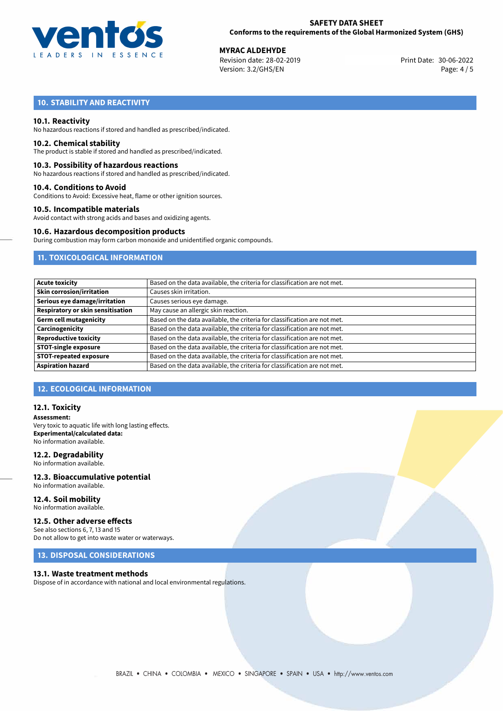

30-06-2022 **MYRAC ALDEHYDE** Revision date: 28-02-2019 Print Date: Version: 3.2/GHS/EN Page: 4 / 5

# **10. STABILITY AND REACTIVITY**

## **10.1. Reactivity**

No hazardous reactions if stored and handled as prescribed/indicated.

## **10.2. Chemical stability**

The product is stable if stored and handled as prescribed/indicated.

## **10.3. Possibility of hazardous reactions**

No hazardous reactions if stored and handled as prescribed/indicated.

## **10.4. Conditions to Avoid**

Conditions to Avoid: Excessive heat, flame or other ignition sources.

## **10.5. Incompatible materials**

Avoid contact with strong acids and bases and oxidizing agents.

## **10.6. Hazardous decomposition products**

During combustion may form carbon monoxide and unidentified organic compounds.

# **11. TOXICOLOGICAL INFORMATION**

| Based on the data available, the criteria for classification are not met. |
|---------------------------------------------------------------------------|
| Causes skin irritation.                                                   |
| Causes serious eye damage.                                                |
| May cause an allergic skin reaction.                                      |
| Based on the data available, the criteria for classification are not met. |
| Based on the data available, the criteria for classification are not met. |
| Based on the data available, the criteria for classification are not met. |
| Based on the data available, the criteria for classification are not met. |
| Based on the data available, the criteria for classification are not met. |
| Based on the data available, the criteria for classification are not met. |
|                                                                           |

# **12. ECOLOGICAL INFORMATION**

## **12.1. Toxicity**

**Assessment:** Very toxic to aquatic life with long lasting effects. **Experimental/calculated data:** No information available.

## **12.2. Degradability**

No information available.

## **12.3. Bioaccumulative potential** No information available.

**12.4. Soil mobility** No information available.

# **12.5. Other adverse effects**

See also sections 6, 7, 13 and 15 Do not allow to get into waste water or waterways.

# **13. DISPOSAL CONSIDERATIONS**

## **13.1. Waste treatment methods**

Dispose of in accordance with national and local environmental regulations.